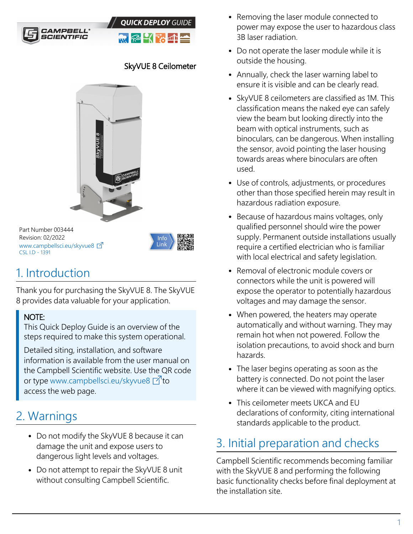



### SkyVUE 8 Ceilometer



Part Number 003444 Revision: 02/2022 [www.campbellsci.](https://www.campbellsci.com/skyvue8)eu/skyvue8 CSL I.D - 1391



# 1. Introduction

Thank you for purchasing the SkyVUE 8. The SkyVUE 8 provides data valuable for your application.

#### NOTE:

This Quick Deploy Guide is an overview of the steps required to make this system operational.

Detailed siting, installation, and software information is available from the user manual on the Campbell Scientific website. Use the QR code or type [www.campbellsci.](http://www.campbellsci.com/skyvue8)eu/skyvue8 1to access the web page.

# 2. Warnings

- Do not modify the SkyVUE 8 because it can damage the unit and expose users to dangerous light levels and voltages.
- Do not attempt to repair the SkyVUE 8 unit without consulting Campbell Scientific.
- Removing the laser module connected to power may expose the user to hazardous class 3B laser radiation.
- Do not operate the laser module while it is outside the housing.
- Annually, check the laser warning label to ensure it is visible and can be clearly read.
- SkyVUE 8 ceilometers are classified as 1M. This classification means the naked eye can safely view the beam but looking directly into the beam with optical instruments, such as binoculars, can be dangerous. When installing the sensor, avoid pointing the laser housing towards areas where binoculars are often used.
- Use of controls, adjustments, or procedures other than those specified herein may result in hazardous radiation exposure.
- Because of hazardous mains voltages, only qualified personnel should wire the power supply. Permanent outside installations usually require a certified electrician who is familiar with local electrical and safety legislation.
- Removal of electronic module covers or connectors while the unit is powered will expose the operator to potentially hazardous voltages and may damage the sensor.
- When powered, the heaters may operate automatically and without warning. They may remain hot when not powered. Follow the isolation precautions, to avoid shock and burn hazards.
- The laser begins operating as soon as the battery is connected. Do not point the laser where it can be viewed with magnifying optics.
- This ceilometer meets UKCA and EU declarations of conformity, citing international standards applicable to the product.

# 3. Initial preparation and checks

Campbell Scientific recommends becoming familiar with the SkyVUE 8 and performing the following basic functionality checks before final deployment at the installation site.